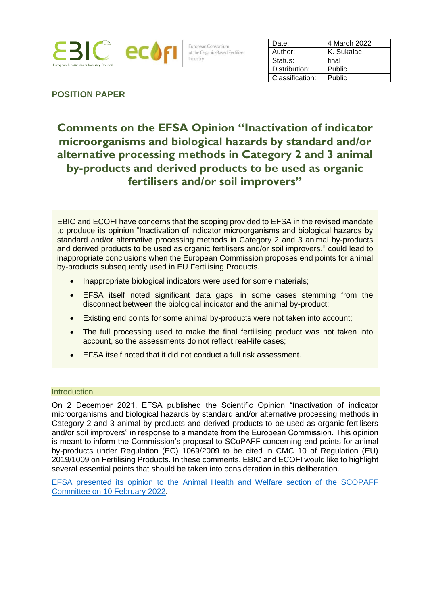

European Consortium of the Organic-Based Fertilizer Industry

| Date:           | 4 March 2022 |
|-----------------|--------------|
| Author:         | K. Sukalac   |
| Status:         | final        |
| Distribution:   | Public       |
| Classification: | Public       |

# **POSITION PAPER**

# **Comments on the EFSA Opinion "Inactivation of indicator microorganisms and biological hazards by standard and/or alternative processing methods in Category 2 and 3 animal by-products and derived products to be used as organic fertilisers and/or soil improvers"**

EBIC and ECOFI have concerns that the scoping provided to EFSA in the revised mandate to produce its opinion "Inactivation of indicator microorganisms and biological hazards by standard and/or alternative processing methods in Category 2 and 3 animal by-products and derived products to be used as organic fertilisers and/or soil improvers," could lead to inappropriate conclusions when the European Commission proposes end points for animal by-products subsequently used in EU Fertilising Products.

- Inappropriate biological indicators were used for some materials;
- EFSA itself noted significant data gaps, in some cases stemming from the disconnect between the biological indicator and the animal by-product;
- Existing end points for some animal by-products were not taken into account;
- The full processing used to make the final fertilising product was not taken into account, so the assessments do not reflect real-life cases;
- EFSA itself noted that it did not conduct a full risk assessment.

## **Introduction**

On 2 December 2021, EFSA published the Scientific Opinion "Inactivation of indicator microorganisms and biological hazards by standard and/or alternative processing methods in Category 2 and 3 animal by-products and derived products to be used as organic fertilisers and/or soil improvers" in response to a mandate from the European Commission. This opinion is meant to inform the Commission's proposal to SCoPAFF concerning end points for animal by-products under Regulation (EC) 1069/2009 to be cited in CMC 10 of Regulation (EU) 2019/1009 on Fertilising Products. In these comments, EBIC and ECOFI would like to highlight several essential points that should be taken into consideration in this deliberation.

[EFSA presented its opinion to the Animal Health and Welfare section of the SCOPAFF](https://ec.europa.eu/food/document/download/33e7faae-ba64-4746-b2e7-f88fcfe4fee3_en)  [Committee on 10 February 2022.](https://ec.europa.eu/food/document/download/33e7faae-ba64-4746-b2e7-f88fcfe4fee3_en)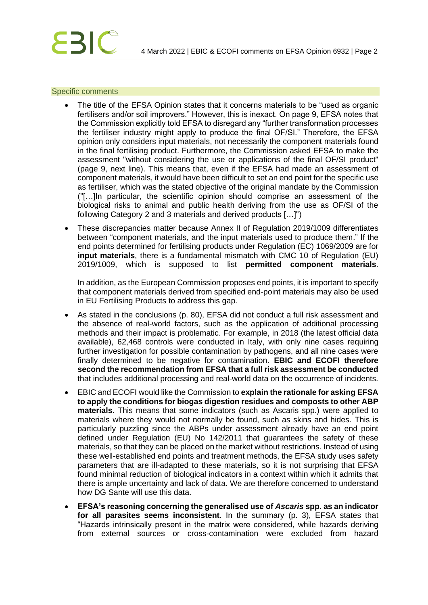#### Specific comments

- The title of the EFSA Opinion states that it concerns materials to be "used as organic fertilisers and/or soil improvers." However, this is inexact. On page 9, EFSA notes that the Commission explicitly told EFSA to disregard any "further transformation processes the fertiliser industry might apply to produce the final OF/SI." Therefore, the EFSA opinion only considers input materials, not necessarily the component materials found in the final fertilising product. Furthermore, the Commission asked EFSA to make the assessment "without considering the use or applications of the final OF/SI product" (page 9, next line). This means that, even if the EFSA had made an assessment of component materials, it would have been difficult to set an end point for the specific use as fertiliser, which was the stated objective of the original mandate by the Commission ("[…]In particular, the scientific opinion should comprise an assessment of the biological risks to animal and public health deriving from the use as OF/SI of the following Category 2 and 3 materials and derived products […]")
- These discrepancies matter because Annex II of Regulation 2019/1009 differentiates between "component materials, and the input materials used to produce them." If the end points determined for fertilising products under Regulation (EC) 1069/2009 are for **input materials**, there is a fundamental mismatch with CMC 10 of Regulation (EU) 2019/1009, which is supposed to list **permitted component materials**.

In addition, as the European Commission proposes end points, it is important to specify that component materials derived from specified end-point materials may also be used in EU Fertilising Products to address this gap.

- As stated in the conclusions (p. 80), EFSA did not conduct a full risk assessment and the absence of real-world factors, such as the application of additional processing methods and their impact is problematic. For example, in 2018 (the latest official data available), 62,468 controls were conducted in Italy, with only nine cases requiring further investigation for possible contamination by pathogens, and all nine cases were finally determined to be negative for contamination. **EBIC and ECOFI therefore second the recommendation from EFSA that a full risk assessment be conducted** that includes additional processing and real-world data on the occurrence of incidents.
- EBIC and ECOFI would like the Commission to **explain the rationale for asking EFSA to apply the conditions for biogas digestion residues and composts to other ABP materials**. This means that some indicators (such as Ascaris spp.) were applied to materials where they would not normally be found, such as skins and hides. This is particularly puzzling since the ABPs under assessment already have an end point defined under Regulation (EU) No 142/2011 that guarantees the safety of these materials, so that they can be placed on the market without restrictions. Instead of using these well-established end points and treatment methods, the EFSA study uses safety parameters that are ill-adapted to these materials, so it is not surprising that EFSA found minimal reduction of biological indicators in a context within which it admits that there is ample uncertainty and lack of data. We are therefore concerned to understand how DG Sante will use this data.
- **EFSA's reasoning concerning the generalised use of** *Ascaris* **spp. as an indicator for all parasites seems inconsistent**. In the summary (p. 3), EFSA states that "Hazards intrinsically present in the matrix were considered, while hazards deriving from external sources or cross-contamination were excluded from hazard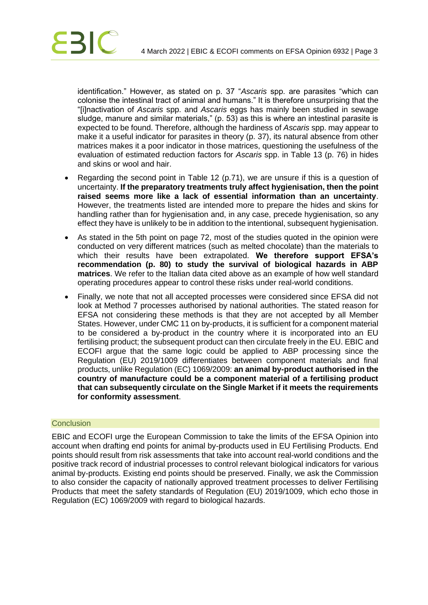

identification." However, as stated on p. 37 "*Ascaris* spp. are parasites "which can colonise the intestinal tract of animal and humans." It is therefore unsurprising that the "[i]nactivation of *Ascaris* spp. and *Ascaris* eggs has mainly been studied in sewage sludge, manure and similar materials," (p. 53) as this is where an intestinal parasite is expected to be found. Therefore, although the hardiness of *Ascaris* spp. may appear to make it a useful indicator for parasites in theory (p. 37), its natural absence from other matrices makes it a poor indicator in those matrices, questioning the usefulness of the evaluation of estimated reduction factors for *Ascaris* spp. in Table 13 (p. 76) in hides and skins or wool and hair.

- Regarding the second point in Table 12 (p.71), we are unsure if this is a question of uncertainty. **If the preparatory treatments truly affect hygienisation, then the point raised seems more like a lack of essential information than an uncertainty**. However, the treatments listed are intended more to prepare the hides and skins for handling rather than for hygienisation and, in any case, precede hygienisation, so any effect they have is unlikely to be in addition to the intentional, subsequent hygienisation.
- As stated in the 5th point on page 72, most of the studies quoted in the opinion were conducted on very different matrices (such as melted chocolate) than the materials to which their results have been extrapolated. **We therefore support EFSA's recommendation (p. 80) to study the survival of biological hazards in ABP matrices**. We refer to the Italian data cited above as an example of how well standard operating procedures appear to control these risks under real-world conditions.
- Finally, we note that not all accepted processes were considered since EFSA did not look at Method 7 processes authorised by national authorities. The stated reason for EFSA not considering these methods is that they are not accepted by all Member States. However, under CMC 11 on by-products, it is sufficient for a component material to be considered a by-product in the country where it is incorporated into an EU fertilising product; the subsequent product can then circulate freely in the EU. EBIC and ECOFI argue that the same logic could be applied to ABP processing since the Regulation (EU) 2019/1009 differentiates between component materials and final products, unlike Regulation (EC) 1069/2009: **an animal by-product authorised in the country of manufacture could be a component material of a fertilising product that can subsequently circulate on the Single Market if it meets the requirements for conformity assessment**.

#### **Conclusion**

EBIC and ECOFI urge the European Commission to take the limits of the EFSA Opinion into account when drafting end points for animal by-products used in EU Fertilising Products. End points should result from risk assessments that take into account real-world conditions and the positive track record of industrial processes to control relevant biological indicators for various animal by-products. Existing end points should be preserved. Finally, we ask the Commission to also consider the capacity of nationally approved treatment processes to deliver Fertilising Products that meet the safety standards of Regulation (EU) 2019/1009, which echo those in Regulation (EC) 1069/2009 with regard to biological hazards.